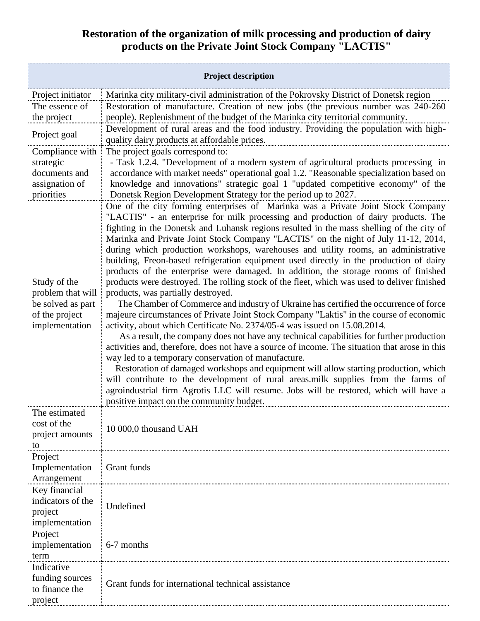## **Restoration of the organization of milk processing and production of dairy products on the Private Joint Stock Company "LACTIS"**

| <b>Project description</b>                                                                               |                                                                                                                                                                                                                                                                                                                                                                                                                                                                                                                                                                                                                                                                                                                                                                                                                                                                                                                                                                                                                                                                                                                                                                                                                                                                                                                                                                                                                                                                                                                                                                                                                                                                               |
|----------------------------------------------------------------------------------------------------------|-------------------------------------------------------------------------------------------------------------------------------------------------------------------------------------------------------------------------------------------------------------------------------------------------------------------------------------------------------------------------------------------------------------------------------------------------------------------------------------------------------------------------------------------------------------------------------------------------------------------------------------------------------------------------------------------------------------------------------------------------------------------------------------------------------------------------------------------------------------------------------------------------------------------------------------------------------------------------------------------------------------------------------------------------------------------------------------------------------------------------------------------------------------------------------------------------------------------------------------------------------------------------------------------------------------------------------------------------------------------------------------------------------------------------------------------------------------------------------------------------------------------------------------------------------------------------------------------------------------------------------------------------------------------------------|
| Project initiator                                                                                        | Marinka city military-civil administration of the Pokrovsky District of Donetsk region                                                                                                                                                                                                                                                                                                                                                                                                                                                                                                                                                                                                                                                                                                                                                                                                                                                                                                                                                                                                                                                                                                                                                                                                                                                                                                                                                                                                                                                                                                                                                                                        |
| The essence of                                                                                           | Restoration of manufacture. Creation of new jobs (the previous number was 240-260                                                                                                                                                                                                                                                                                                                                                                                                                                                                                                                                                                                                                                                                                                                                                                                                                                                                                                                                                                                                                                                                                                                                                                                                                                                                                                                                                                                                                                                                                                                                                                                             |
| the project                                                                                              | people). Replenishment of the budget of the Marinka city territorial community.                                                                                                                                                                                                                                                                                                                                                                                                                                                                                                                                                                                                                                                                                                                                                                                                                                                                                                                                                                                                                                                                                                                                                                                                                                                                                                                                                                                                                                                                                                                                                                                               |
| Project goal                                                                                             | Development of rural areas and the food industry. Providing the population with high-<br>quality dairy products at affordable prices.                                                                                                                                                                                                                                                                                                                                                                                                                                                                                                                                                                                                                                                                                                                                                                                                                                                                                                                                                                                                                                                                                                                                                                                                                                                                                                                                                                                                                                                                                                                                         |
| Compliance with                                                                                          | The project goals correspond to:                                                                                                                                                                                                                                                                                                                                                                                                                                                                                                                                                                                                                                                                                                                                                                                                                                                                                                                                                                                                                                                                                                                                                                                                                                                                                                                                                                                                                                                                                                                                                                                                                                              |
| strategic                                                                                                | - Task 1.2.4. "Development of a modern system of agricultural products processing in                                                                                                                                                                                                                                                                                                                                                                                                                                                                                                                                                                                                                                                                                                                                                                                                                                                                                                                                                                                                                                                                                                                                                                                                                                                                                                                                                                                                                                                                                                                                                                                          |
| documents and                                                                                            | accordance with market needs" operational goal 1.2. "Reasonable specialization based on                                                                                                                                                                                                                                                                                                                                                                                                                                                                                                                                                                                                                                                                                                                                                                                                                                                                                                                                                                                                                                                                                                                                                                                                                                                                                                                                                                                                                                                                                                                                                                                       |
| assignation of                                                                                           | knowledge and innovations" strategic goal 1 "updated competitive economy" of the                                                                                                                                                                                                                                                                                                                                                                                                                                                                                                                                                                                                                                                                                                                                                                                                                                                                                                                                                                                                                                                                                                                                                                                                                                                                                                                                                                                                                                                                                                                                                                                              |
| priorities<br>Study of the<br>problem that will<br>be solved as part<br>of the project<br>implementation | Donetsk Region Development Strategy for the period up to 2027.<br>One of the city forming enterprises of Marinka was a Private Joint Stock Company<br>"LACTIS" - an enterprise for milk processing and production of dairy products. The<br>fighting in the Donetsk and Luhansk regions resulted in the mass shelling of the city of<br>Marinka and Private Joint Stock Company "LACTIS" on the night of July 11-12, 2014,<br>during which production workshops, warehouses and utility rooms, an administrative<br>building, Freon-based refrigeration equipment used directly in the production of dairy<br>products of the enterprise were damaged. In addition, the storage rooms of finished<br>products were destroyed. The rolling stock of the fleet, which was used to deliver finished<br>products, was partially destroyed.<br>The Chamber of Commerce and industry of Ukraine has certified the occurrence of force<br>majeure circumstances of Private Joint Stock Company "Laktis" in the course of economic<br>activity, about which Certificate No. 2374/05-4 was issued on 15.08.2014.<br>As a result, the company does not have any technical capabilities for further production<br>activities and, therefore, does not have a source of income. The situation that arose in this<br>way led to a temporary conservation of manufacture.<br>Restoration of damaged workshops and equipment will allow starting production, which<br>will contribute to the development of rural areas.milk supplies from the farms of<br>agroindustrial firm Agrotis LLC will resume. Jobs will be restored, which will have a<br>positive impact on the community budget. |
| The estimated                                                                                            |                                                                                                                                                                                                                                                                                                                                                                                                                                                                                                                                                                                                                                                                                                                                                                                                                                                                                                                                                                                                                                                                                                                                                                                                                                                                                                                                                                                                                                                                                                                                                                                                                                                                               |
| cost of the<br>project amounts<br>to                                                                     | 10 000,0 thousand UAH                                                                                                                                                                                                                                                                                                                                                                                                                                                                                                                                                                                                                                                                                                                                                                                                                                                                                                                                                                                                                                                                                                                                                                                                                                                                                                                                                                                                                                                                                                                                                                                                                                                         |
| Project                                                                                                  |                                                                                                                                                                                                                                                                                                                                                                                                                                                                                                                                                                                                                                                                                                                                                                                                                                                                                                                                                                                                                                                                                                                                                                                                                                                                                                                                                                                                                                                                                                                                                                                                                                                                               |
| Implementation                                                                                           | Grant funds                                                                                                                                                                                                                                                                                                                                                                                                                                                                                                                                                                                                                                                                                                                                                                                                                                                                                                                                                                                                                                                                                                                                                                                                                                                                                                                                                                                                                                                                                                                                                                                                                                                                   |
| Arrangement                                                                                              |                                                                                                                                                                                                                                                                                                                                                                                                                                                                                                                                                                                                                                                                                                                                                                                                                                                                                                                                                                                                                                                                                                                                                                                                                                                                                                                                                                                                                                                                                                                                                                                                                                                                               |
| Key financial<br>indicators of the                                                                       |                                                                                                                                                                                                                                                                                                                                                                                                                                                                                                                                                                                                                                                                                                                                                                                                                                                                                                                                                                                                                                                                                                                                                                                                                                                                                                                                                                                                                                                                                                                                                                                                                                                                               |
| project                                                                                                  | Undefined                                                                                                                                                                                                                                                                                                                                                                                                                                                                                                                                                                                                                                                                                                                                                                                                                                                                                                                                                                                                                                                                                                                                                                                                                                                                                                                                                                                                                                                                                                                                                                                                                                                                     |
| implementation                                                                                           |                                                                                                                                                                                                                                                                                                                                                                                                                                                                                                                                                                                                                                                                                                                                                                                                                                                                                                                                                                                                                                                                                                                                                                                                                                                                                                                                                                                                                                                                                                                                                                                                                                                                               |
| Project                                                                                                  |                                                                                                                                                                                                                                                                                                                                                                                                                                                                                                                                                                                                                                                                                                                                                                                                                                                                                                                                                                                                                                                                                                                                                                                                                                                                                                                                                                                                                                                                                                                                                                                                                                                                               |
| implementation                                                                                           | 6-7 months                                                                                                                                                                                                                                                                                                                                                                                                                                                                                                                                                                                                                                                                                                                                                                                                                                                                                                                                                                                                                                                                                                                                                                                                                                                                                                                                                                                                                                                                                                                                                                                                                                                                    |
| term                                                                                                     |                                                                                                                                                                                                                                                                                                                                                                                                                                                                                                                                                                                                                                                                                                                                                                                                                                                                                                                                                                                                                                                                                                                                                                                                                                                                                                                                                                                                                                                                                                                                                                                                                                                                               |
| Indicative                                                                                               |                                                                                                                                                                                                                                                                                                                                                                                                                                                                                                                                                                                                                                                                                                                                                                                                                                                                                                                                                                                                                                                                                                                                                                                                                                                                                                                                                                                                                                                                                                                                                                                                                                                                               |
| funding sources<br>to finance the<br>project                                                             | Grant funds for international technical assistance                                                                                                                                                                                                                                                                                                                                                                                                                                                                                                                                                                                                                                                                                                                                                                                                                                                                                                                                                                                                                                                                                                                                                                                                                                                                                                                                                                                                                                                                                                                                                                                                                            |